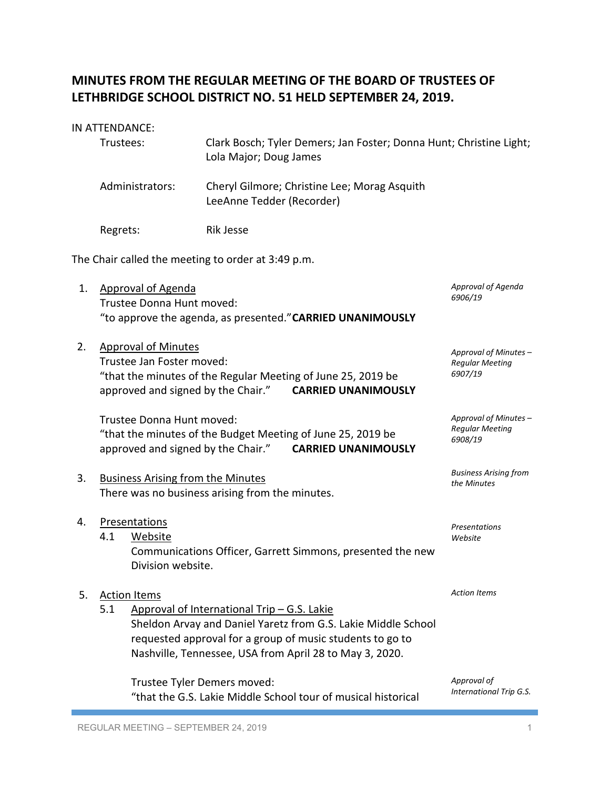# **MINUTES FROM THE REGULAR MEETING OF THE BOARD OF TRUSTEES OF LETHBRIDGE SCHOOL DISTRICT NO. 51 HELD SEPTEMBER 24, 2019.**

#### IN ATTENDANCE:

| Trustees:       | Clark Bosch; Tyler Demers; Jan Foster; Donna Hunt; Christine Light;<br>Lola Major; Doug James |
|-----------------|-----------------------------------------------------------------------------------------------|
| Administrators: | Cheryl Gilmore; Christine Lee; Morag Asquith<br>LeeAnne Tedder (Recorder)                     |
| Regrets:        | Rik Jesse                                                                                     |

The Chair called the meeting to order at 3:49 p.m.

- 1. Approval of Agenda Trustee Donna Hunt moved: "to approve the agenda, as presented."**CARRIED UNANIMOUSLY**
- 2. Approval of Minutes Trustee Jan Foster moved: "that the minutes of the Regular Meeting of June 25, 2019 be approved and signed by the Chair." **CARRIED UNANIMOUSLY** *Approval of Minutes – Regular Meeting 6907/19*

Trustee Donna Hunt moved: "that the minutes of the Budget Meeting of June 25, 2019 be approved and signed by the Chair." **CARRIED UNANIMOUSLY**

- 3. Business Arising from the Minutes There was no business arising from the minutes.
- 4. Presentations 4.1 Website Communications Officer, Garrett Simmons, presented the new Division website.

## 5. Action Items

5.1 Approval of International Trip – G.S. Lakie Sheldon Arvay and Daniel Yaretz from G.S. Lakie Middle School requested approval for a group of music students to go to Nashville, Tennessee, USA from April 28 to May 3, 2020.

Trustee Tyler Demers moved: "that the G.S. Lakie Middle School tour of musical historical

*Approval of Agenda*

*6906/19*

*Approval of Minutes – Regular Meeting 6908/19*

*Business Arising from the Minutes*

*Presentations Website*

*Action Items*

*Approval of International Trip G.S.*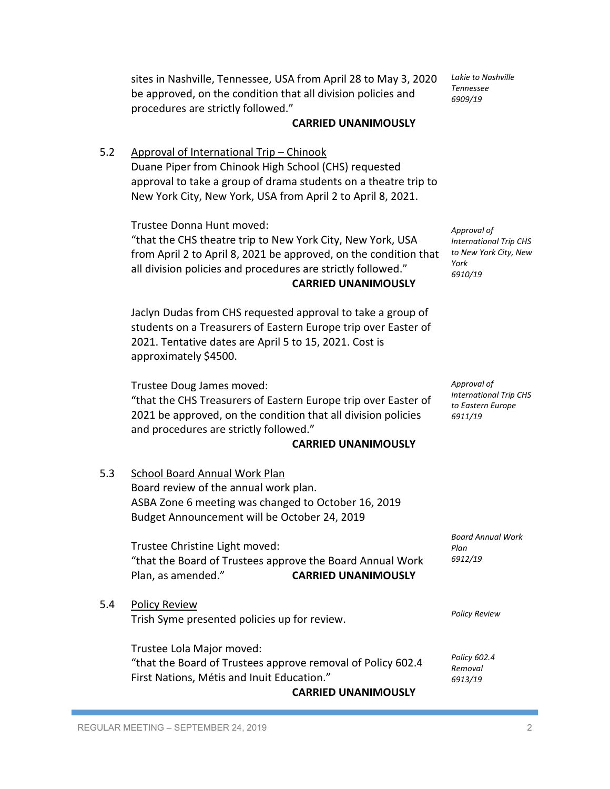sites in Nashville, Tennessee, USA from April 28 to May 3, 2020 be approved, on the condition that all division policies and procedures are strictly followed."

#### **CARRIED UNANIMOUSLY**

5.2 Approval of International Trip – Chinook Duane Piper from Chinook High School (CHS) requested approval to take a group of drama students on a theatre trip to New York City, New York, USA from April 2 to April 8, 2021.

Trustee Donna Hunt moved:

"that the CHS theatre trip to New York City, New York, USA from April 2 to April 8, 2021 be approved, on the condition that all division policies and procedures are strictly followed." **CARRIED UNANIMOUSLY**

Jaclyn Dudas from CHS requested approval to take a group of students on a Treasurers of Eastern Europe trip over Easter of 2021. Tentative dates are April 5 to 15, 2021. Cost is approximately \$4500.

Trustee Doug James moved:

"that the CHS Treasurers of Eastern Europe trip over Easter of 2021 be approved, on the condition that all division policies and procedures are strictly followed."

#### **CARRIED UNANIMOUSLY**

5.3 School Board Annual Work Plan Board review of the annual work plan. ASBA Zone 6 meeting was changed to October 16, 2019 Budget Announcement will be October 24, 2019 Trustee Christine Light moved: "that the Board of Trustees approve the Board Annual Work Plan, as amended." **CARRIED UNANIMOUSLY** 5.4 Policy Review Trish Syme presented policies up for review. Trustee Lola Major moved: "that the Board of Trustees approve removal of Policy 602.4 First Nations, Métis and Inuit Education." *Board Annual Work Plan 6912/19 Policy Review Policy 602.4 Removal 6913/19*

**CARRIED UNANIMOUSLY**

*Lakie to Nashville Tennessee 6909/19*

*Approval of International Trip CHS to New York City, New York 6910/19*

*Approval of International Trip CHS to Eastern Europe 6911/19*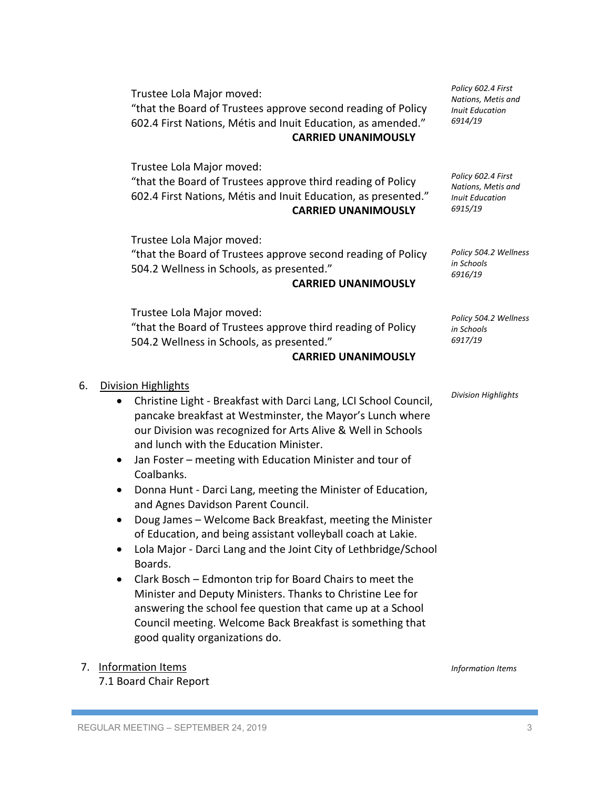Trustee Lola Major moved: "that the Board of Trustees approve second reading of Policy 602.4 First Nations, Métis and Inuit Education, as amended." **CARRIED UNANIMOUSLY**

Trustee Lola Major moved:

"that the Board of Trustees approve third reading of Policy 602.4 First Nations, Métis and Inuit Education, as presented." **CARRIED UNANIMOUSLY**

Trustee Lola Major moved:

"that the Board of Trustees approve second reading of Policy 504.2 Wellness in Schools, as presented."

#### **CARRIED UNANIMOUSLY**

Trustee Lola Major moved: "that the Board of Trustees approve third reading of Policy 504.2 Wellness in Schools, as presented."

### **CARRIED UNANIMOUSLY**

- 6. Division Highlights
	- Christine Light Breakfast with Darci Lang, LCI School Council, pancake breakfast at Westminster, the Mayor's Lunch where our Division was recognized for Arts Alive & Well in Schools and lunch with the Education Minister.
	- Jan Foster meeting with Education Minister and tour of Coalbanks.
	- Donna Hunt Darci Lang, meeting the Minister of Education, and Agnes Davidson Parent Council.
	- Doug James Welcome Back Breakfast, meeting the Minister of Education, and being assistant volleyball coach at Lakie.
	- Lola Major Darci Lang and the Joint City of Lethbridge/School Boards.
	- Clark Bosch Edmonton trip for Board Chairs to meet the Minister and Deputy Ministers. Thanks to Christine Lee for answering the school fee question that came up at a School Council meeting. Welcome Back Breakfast is something that good quality organizations do.

## 7. Information Items

7.1 Board Chair Report

*Policy 504.2 Wellness in Schools 6917/19*

*Division Highlights*

*Policy 602.4 First Nations, Metis and Inuit Education 6914/19*

*Policy 602.4 First Nations, Metis and Inuit Education 6915/19*

*Policy 504.2 Wellness* 

*in Schools 6916/19*

*Information Items*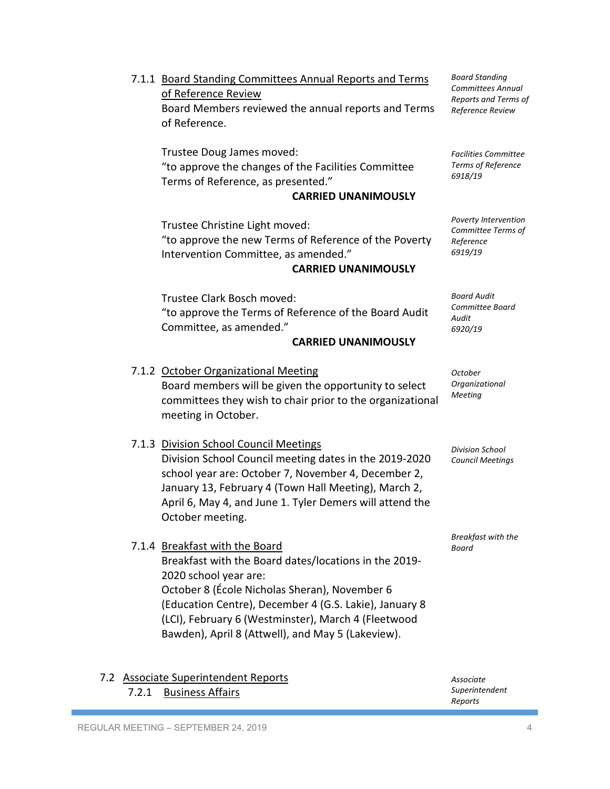- 7.1.1 Board Standing Committees Annual Reports and Terms of Reference Review Board Members reviewed the annual reports and Terms of Reference. Trustee Doug James moved: "to approve the changes of the Facilities Committee Terms of Reference, as presented." **CARRIED UNANIMOUSLY** Trustee Christine Light moved: "to approve the new Terms of Reference of the Poverty Intervention Committee, as amended." **CARRIED UNANIMOUSLY** Trustee Clark Bosch moved: "to approve the Terms of Reference of the Board Audit Committee, as amended." **CARRIED UNANIMOUSLY** 7.1.2 October Organizational Meeting Board members will be given the opportunity to select committees they wish to chair prior to the organizational meeting in October. 7.1.3 Division School Council Meetings Division School Council meeting dates in the 2019-2020 school year are: October 7, November 4, December 2, January 13, February 4 (Town Hall Meeting), March 2, April 6, May 4, and June 1. Tyler Demers will attend the October meeting. 7.1.4 Breakfast with the Board Breakfast with the Board dates/locations in the 2019- 2020 school year are: October 8 (École Nicholas Sheran), November 6 (Education Centre), December 4 (G.S. Lakie), January 8 (LCI), February 6 (Westminster), March 4 (Fleetwood Bawden), April 8 (Attwell), and May 5 (Lakeview). *Board Standing Committees Annual Reports and Terms of Reference Review Facilities Committee Terms of Reference 6918/19 Poverty Intervention Committee Terms of Reference 6919/19 Board Audit Committee Board Audit 6920/19 October Organizational Meeting Division School Council Meetings Breakfast with the Board*
- 7.2 Associate Superintendent Reports 7.2.1 Business Affairs *Associate Superintendent Reports*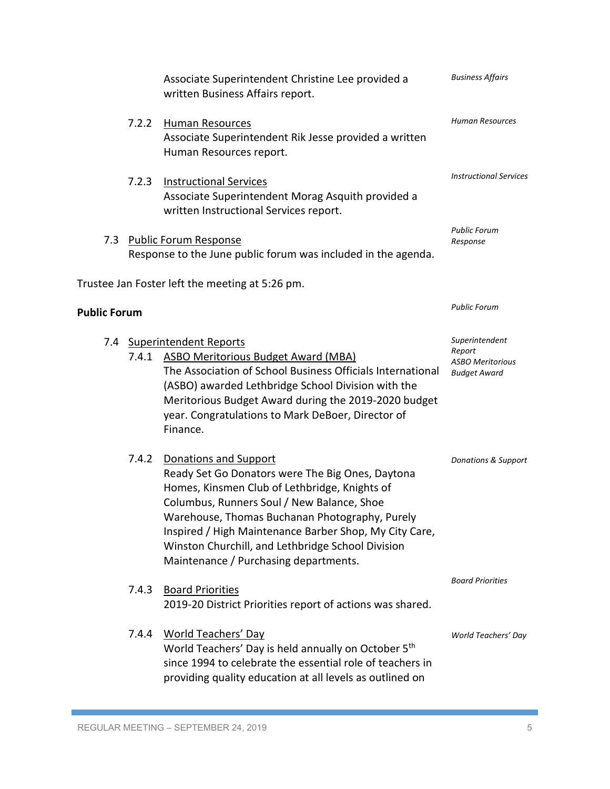|                     |                                                                                               | Associate Superintendent Christine Lee provided a<br>written Business Affairs report.                                                                                                                                                                                                                                                                                              | <b>Business Affairs</b>                                                    |
|---------------------|-----------------------------------------------------------------------------------------------|------------------------------------------------------------------------------------------------------------------------------------------------------------------------------------------------------------------------------------------------------------------------------------------------------------------------------------------------------------------------------------|----------------------------------------------------------------------------|
|                     | 7.2.2                                                                                         | <b>Human Resources</b><br>Associate Superintendent Rik Jesse provided a written<br>Human Resources report.                                                                                                                                                                                                                                                                         | <b>Human Resources</b>                                                     |
|                     | 7.2.3                                                                                         | <b>Instructional Services</b><br>Associate Superintendent Morag Asquith provided a<br>written Instructional Services report.                                                                                                                                                                                                                                                       | <b>Instructional Services</b>                                              |
| 7.3                 | <b>Public Forum Response</b><br>Response to the June public forum was included in the agenda. |                                                                                                                                                                                                                                                                                                                                                                                    | Public Forum<br>Response                                                   |
|                     |                                                                                               | Trustee Jan Foster left the meeting at 5:26 pm.                                                                                                                                                                                                                                                                                                                                    |                                                                            |
| <b>Public Forum</b> |                                                                                               |                                                                                                                                                                                                                                                                                                                                                                                    | <b>Public Forum</b>                                                        |
| 7.4                 |                                                                                               | <b>Superintendent Reports</b><br>7.4.1 ASBO Meritorious Budget Award (MBA)<br>The Association of School Business Officials International<br>(ASBO) awarded Lethbridge School Division with the<br>Meritorious Budget Award during the 2019-2020 budget<br>year. Congratulations to Mark DeBoer, Director of<br>Finance.                                                            | Superintendent<br>Report<br><b>ASBO Meritorious</b><br><b>Budget Award</b> |
|                     | 7.4.2                                                                                         | Donations and Support<br>Ready Set Go Donators were The Big Ones, Daytona<br>Homes, Kinsmen Club of Lethbridge, Knights of<br>Columbus, Runners Soul / New Balance, Shoe<br>Warehouse, Thomas Buchanan Photography, Purely<br>Inspired / High Maintenance Barber Shop, My City Care,<br>Winston Churchill, and Lethbridge School Division<br>Maintenance / Purchasing departments. | <b>Donations &amp; Support</b>                                             |
|                     | 7.4.3                                                                                         | <b>Board Priorities</b><br>2019-20 District Priorities report of actions was shared.                                                                                                                                                                                                                                                                                               | <b>Board Priorities</b>                                                    |
|                     | 7.4.4                                                                                         | <b>World Teachers' Day</b><br>World Teachers' Day is held annually on October 5 <sup>th</sup><br>since 1994 to celebrate the essential role of teachers in<br>providing quality education at all levels as outlined on                                                                                                                                                             | World Teachers' Day                                                        |